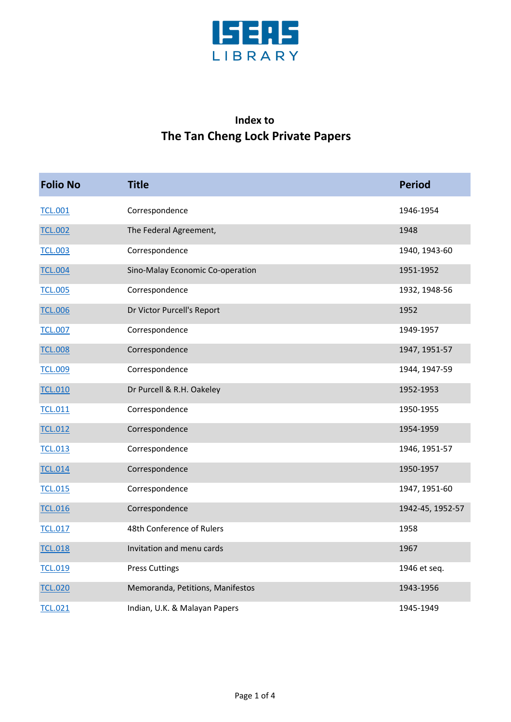

## **Index to The Tan Cheng Lock Private Papers**

| <b>Folio No</b> | <b>Title</b>                     | <b>Period</b>    |
|-----------------|----------------------------------|------------------|
| <b>TCL.001</b>  | Correspondence                   | 1946-1954        |
| <b>TCL.002</b>  | The Federal Agreement,           | 1948             |
| <b>TCL.003</b>  | Correspondence                   | 1940, 1943-60    |
| <b>TCL.004</b>  | Sino-Malay Economic Co-operation | 1951-1952        |
| <b>TCL.005</b>  | Correspondence                   | 1932, 1948-56    |
| <b>TCL.006</b>  | Dr Victor Purcell's Report       | 1952             |
| <b>TCL.007</b>  | Correspondence                   | 1949-1957        |
| <b>TCL.008</b>  | Correspondence                   | 1947, 1951-57    |
| <b>TCL.009</b>  | Correspondence                   | 1944, 1947-59    |
| <b>TCL.010</b>  | Dr Purcell & R.H. Oakeley        | 1952-1953        |
| <b>TCL.011</b>  | Correspondence                   | 1950-1955        |
| <b>TCL.012</b>  | Correspondence                   | 1954-1959        |
| <b>TCL.013</b>  | Correspondence                   | 1946, 1951-57    |
| <b>TCL.014</b>  | Correspondence                   | 1950-1957        |
| <b>TCL.015</b>  | Correspondence                   | 1947, 1951-60    |
| <b>TCL.016</b>  | Correspondence                   | 1942-45, 1952-57 |
| <b>TCL.017</b>  | 48th Conference of Rulers        | 1958             |
| <b>TCL.018</b>  | Invitation and menu cards        | 1967             |
| <b>TCL.019</b>  | <b>Press Cuttings</b>            | 1946 et seq.     |
| <b>TCL.020</b>  | Memoranda, Petitions, Manifestos | 1943-1956        |
| <b>TCL.021</b>  | Indian, U.K. & Malayan Papers    | 1945-1949        |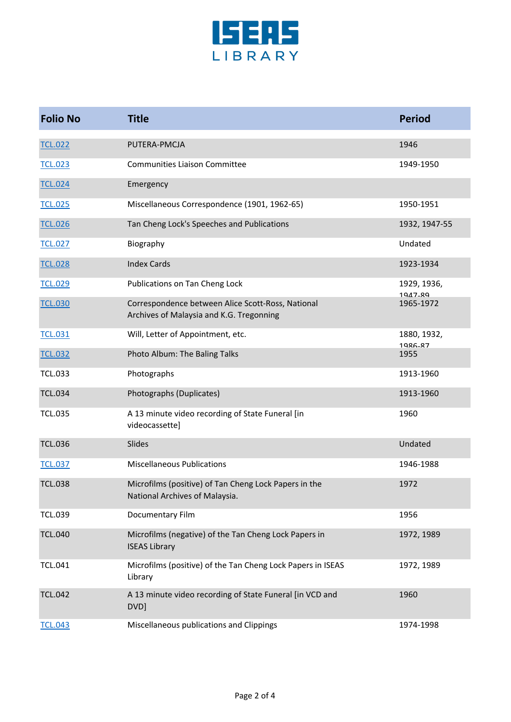

| <b>Folio No</b> | <b>Title</b>                                                                                  | <b>Period</b>          |
|-----------------|-----------------------------------------------------------------------------------------------|------------------------|
| <b>TCL.022</b>  | PUTERA-PMCJA                                                                                  | 1946                   |
| <b>TCL.023</b>  | <b>Communities Liaison Committee</b>                                                          | 1949-1950              |
| <b>TCL.024</b>  | Emergency                                                                                     |                        |
| <b>TCL.025</b>  | Miscellaneous Correspondence (1901, 1962-65)                                                  | 1950-1951              |
| <b>TCL.026</b>  | Tan Cheng Lock's Speeches and Publications                                                    | 1932, 1947-55          |
| <b>TCL.027</b>  | Biography                                                                                     | Undated                |
| <b>TCL.028</b>  | <b>Index Cards</b>                                                                            | 1923-1934              |
| <b>TCL.029</b>  | Publications on Tan Cheng Lock                                                                | 1929, 1936,<br>1947-89 |
| <b>TCL.030</b>  | Correspondence between Alice Scott-Ross, National<br>Archives of Malaysia and K.G. Tregonning | 1965-1972              |
| <b>TCL.031</b>  | Will, Letter of Appointment, etc.                                                             | 1880, 1932,<br>1986-87 |
| <b>TCL.032</b>  | Photo Album: The Baling Talks                                                                 | 1955                   |
| <b>TCL.033</b>  | Photographs                                                                                   | 1913-1960              |
| <b>TCL.034</b>  | Photographs (Duplicates)                                                                      | 1913-1960              |
| <b>TCL.035</b>  | A 13 minute video recording of State Funeral [in<br>videocassette]                            | 1960                   |
| <b>TCL.036</b>  | Slides                                                                                        | Undated                |
| <b>TCL.037</b>  | <b>Miscellaneous Publications</b>                                                             | 1946-1988              |
| <b>TCL.038</b>  | Microfilms (positive) of Tan Cheng Lock Papers in the<br>National Archives of Malaysia.       | 1972                   |
| <b>TCL.039</b>  | Documentary Film                                                                              | 1956                   |
| <b>TCL.040</b>  | Microfilms (negative) of the Tan Cheng Lock Papers in<br><b>ISEAS Library</b>                 | 1972, 1989             |
| <b>TCL.041</b>  | Microfilms (positive) of the Tan Cheng Lock Papers in ISEAS<br>Library                        | 1972, 1989             |
| <b>TCL.042</b>  | A 13 minute video recording of State Funeral [in VCD and<br>DVD]                              | 1960                   |
| <b>TCL.043</b>  | Miscellaneous publications and Clippings                                                      | 1974-1998              |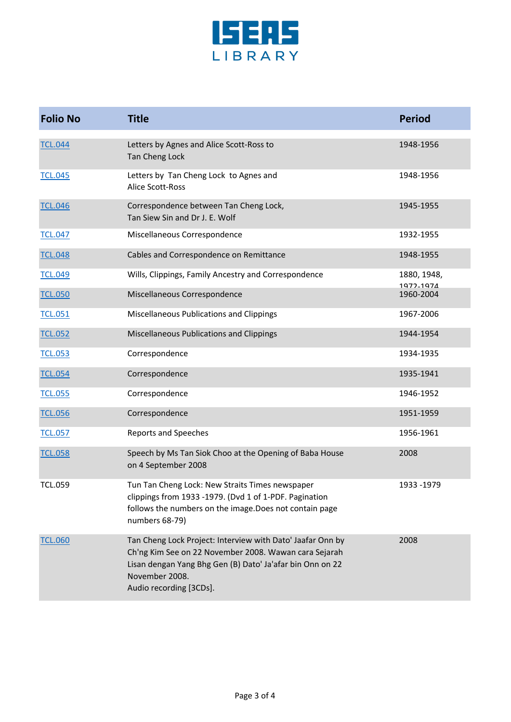

| <b>Folio No</b> | <b>Title</b>                                                                                                                                                                                                                  | <b>Period</b>            |
|-----------------|-------------------------------------------------------------------------------------------------------------------------------------------------------------------------------------------------------------------------------|--------------------------|
| <b>TCL.044</b>  | Letters by Agnes and Alice Scott-Ross to<br><b>Tan Cheng Lock</b>                                                                                                                                                             | 1948-1956                |
| <b>TCL.045</b>  | Letters by Tan Cheng Lock to Agnes and<br>Alice Scott-Ross                                                                                                                                                                    | 1948-1956                |
| <b>TCL.046</b>  | Correspondence between Tan Cheng Lock,<br>Tan Siew Sin and Dr J. E. Wolf                                                                                                                                                      | 1945-1955                |
| <b>TCL.047</b>  | Miscellaneous Correspondence                                                                                                                                                                                                  | 1932-1955                |
| <b>TCL.048</b>  | Cables and Correspondence on Remittance                                                                                                                                                                                       | 1948-1955                |
| <b>TCL.049</b>  | Wills, Clippings, Family Ancestry and Correspondence                                                                                                                                                                          | 1880, 1948,<br>1972-1974 |
| <b>TCL.050</b>  | Miscellaneous Correspondence                                                                                                                                                                                                  | 1960-2004                |
| <b>TCL.051</b>  | Miscellaneous Publications and Clippings                                                                                                                                                                                      | 1967-2006                |
| <b>TCL.052</b>  | Miscellaneous Publications and Clippings                                                                                                                                                                                      | 1944-1954                |
| <b>TCL.053</b>  | Correspondence                                                                                                                                                                                                                | 1934-1935                |
| <b>TCL.054</b>  | Correspondence                                                                                                                                                                                                                | 1935-1941                |
| <b>TCL.055</b>  | Correspondence                                                                                                                                                                                                                | 1946-1952                |
| <b>TCL.056</b>  | Correspondence                                                                                                                                                                                                                | 1951-1959                |
| <b>TCL.057</b>  | <b>Reports and Speeches</b>                                                                                                                                                                                                   | 1956-1961                |
| <b>TCL.058</b>  | Speech by Ms Tan Siok Choo at the Opening of Baba House<br>on 4 September 2008                                                                                                                                                | 2008                     |
| <b>TCL.059</b>  | Tun Tan Cheng Lock: New Straits Times newspaper<br>clippings from 1933 -1979. (Dvd 1 of 1-PDF. Pagination<br>follows the numbers on the image. Does not contain page<br>numbers 68-79)                                        | 1933 - 1979              |
| <b>TCL.060</b>  | Tan Cheng Lock Project: Interview with Dato' Jaafar Onn by<br>Ch'ng Kim See on 22 November 2008. Wawan cara Sejarah<br>Lisan dengan Yang Bhg Gen (B) Dato' Ja'afar bin Onn on 22<br>November 2008.<br>Audio recording [3CDs]. | 2008                     |